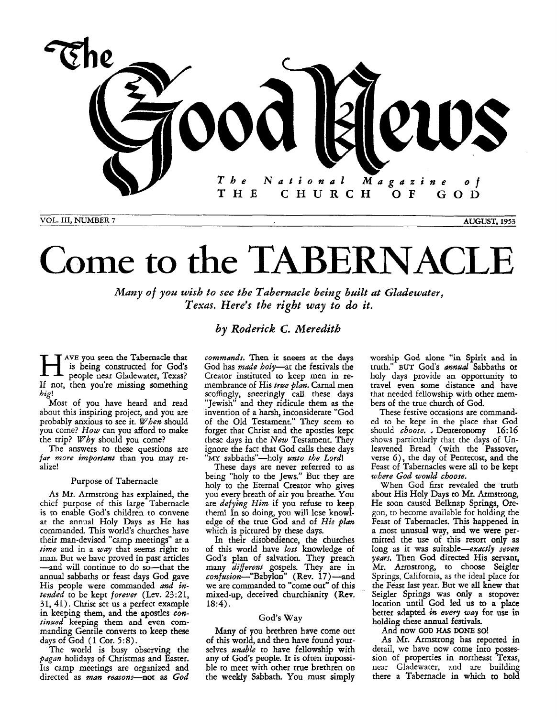

VOL. **111, NUMBER 7 AUGUST, 1953** 

## Come to the TABERNACI

*Many of you wish to see the Tabernacle being built at Gladewater, Texas. Here's the right way to do it.* 

## *by Roderick* **C.** *Meredith*

AVE you seen the Tabernacle that<br>
is being constructed for God's<br>
people near Gladewater, Texas? is being constructed for God's If not, then you're missing something *big!* 

Most of you have heard and read about this inspiring project, and you are probably anxious to see it. When should you come? How can you afford to make the trip? Why should you come?

The answers to these questions are *far* more important than you may realize!

## Purpose of Tabernacle

**As Mr.** Armstrong has explained, the chief purpose of this large Tabernacle is to enable God's children to convene **at** the annual Holy Days as He **has**  commanded. This world's churches have their man-devised "camp meetings" at a time and in a way that seems right to man. But we have proved in past arricles -and will continue to do so-that the annual sabbaths or feast days God gave His people were commanded *and in*tended to be kept forever (Lev.  $23:21$ , 31,41). Christ set **us** a perfect example in keeping them, and the apostles *continued* keeping them **and even com**manding Gentile converts *to* keep these days of God (1 Cor. *5:s).* 

The world is busy observing the *pagan* holidays of Christmas and Easter. Its camp meetings are organized and directed **as** man reasons-not **as** *God* 

commands. **Then** it sneers at the **days**  God has made holy-at the festivals the Creator instituted to keep men in remembrance of His true plan. Carnal men scoffingly, sneeringly call these days "Jewish" and they ridicule them as the invention of a harsh, inconsiderate "God of the Old Testament." They seem to forget that Christ and the apostles kept these days in the New Testament. They ignore the fact that God calls these days **"MY** sabbaths"-holy *anto* the Lord!

These days are never referred to **as**  being "holy to the Jews." But they are holy to the Eternal Creator who gives you every breath of air you breathe. You are *defying Him* if you refuse to keep them! In so doing, you will lose **knowl**edge of the true God and of *His plan* which is pictured by these days.

In their disobedience, the churches of this world have lost knowledge of God's plan of salvation. They preach many different gospels. They are in  $\textit{confusion}$ -"Babylon" (Rev. 17)-and we are commanded to "come out" of this mixed-up, deceived churchianity (Rev. **18:4).** 

## God's **Way**

Many of you brethren have come out of this world, and then have found yourselves *unable* to have fellowship with any of God's people. It is often impossible to meet with other true brethren on the weekly Sabbath. *You* must simply worship *God* alone "in **Spirit** and in truth." BUT God's *annual* Sabbaths or holy days provide an opportunity to travel even some distance and have that needed fellowship with other members of the true church of God.

These festive occasions are commanded to be **kept** in the place **that God**  should choose. **I** Deuteronomy **16:16**  shows particularly that the days of Unleavened Bread (with the Passover, verse **G),** the day of Pentecost, and the Feast of Tabernacles were **all** to **be** kept where *God would* choose.

When God first revealed the truth about His Holy Days to *Mr.* Armstrong, He soon caused Belknap Springs, **Ore**gon, to become available for holding the Feast of Tabernacles. This happened in a most unusual way, and we were permitted the use of this resort **only** as long as it was suitable-exactly seven years. Then God directed His servant, **Mr.** Armstrong, to choose Seigler Springs, California, **as** the ideal place for the Feast last year. But we **all knew** that Seigler Springs was **only** a stopover location until God led us to a place better adapted *ifi* every way for **use** in holding **these annual** festivals.

## And **now GOD** HAS **DONE SO!**

**As Mr.** Armstrong has reported in detail, we have now come into possession of properties in northeast Texas, near Gladewater, and are building there a Tabernacle in **which** to hold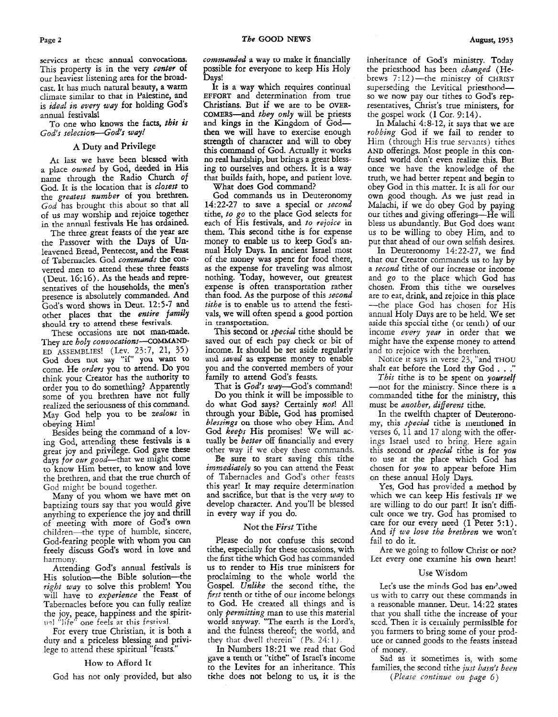serviccs at thcsc annual convocations. This property is in the very *center* of our heaviest listening area for the broadcast. It has much natural beauty, a warm climate similar to that in Palestine, and is *ideal in every way* for holding God's annual festivals!

To one who knows the facts, *this is*  God's selection-God's way!

## **A** Duty and Privilege

**At** last we have been blessed with a place *owned* by God, deeded in His name through the Radio Church *of*  God. It is the location that is *closest* to the *greatest number* of you brethren. *God* has brought this about so that all of us may worship and rejoice together in the annual festivals He has ordained.

The three great feasts of the year are the Passover with the Days of Unleavened Bread, Pentecost, and the Feast of Tabernacles. God *commands* the converted men to attend these three feasts (Deut. 16: 16). **As** the heads and tepresentatives of the households, the men's presence is absolutely commanded. And God's word shows in Deut. 12:5-7 and other places that the *entire family*  should try to attend these festivals.

These occasions are not man-made. They are *holy convocations*-COMMAND-ED ASSEMBLIES! (Lev. 23:7, 21, 35) God does not **say** "il" **you** want to come. He *orders* you to attend. DO YOU think your Creator has the authority to order you to do something? Apparently some of you brethren have not fully realized the seriousness of this command. May God help you to be zealous in obeying Him!

Besides being the command of a loving God, attending these festivals is a great joy and privilege. God gave these days for our good-that we might come to know Him better, to know and love the brethren, and that the true church of God might be bound together.

Many of you whom we have met on baptizing tours say that you would give anything to experience the joy and thrill of meeting with more of God's own children-the type of humble, sincere, God-fearing people with whom you can freely discuss God's word in love and harmony.

Attending God's annual festivals is His solution-the Bible solution-the *right way* to solve this problem! **YOU**  will have to *experience* the Feast of Tabernacles before you can fully realize the joy, peace, happiness and the spirit- **11-1** "life" **one** feels at this **f~stival** 

For every true Christian, it is both a duty and a priceless blessing and privilege to attend these spiritual "feasts."

#### How to Afford It

God has not only provided, but also

*conmnded* **a way to** make it financially possible for everyone to keep His Holy Days!

It **is** a way which requires continual EFFORT and determination from true Christians. But if we are to be OVER-COMERS-and *they only* will be priests and **kings** in the Kingdom of Godthen we will have to exercise enough strength of character and will to obey this command of God. Actually it works no real hardship, but brings a great blessing to ourselves and others. It is a way that builds faith, hope, and patient love. What does God command?

God commands us in Deuteronomy *14:22-27* to save a special or *second*  tithe, *to* go to the place God selects for each of His festivals, and *to rejoice* in them. **This** second tithe is for expense money to enable us to keep God's annual Holy Days. In ancient Israel most of *the* money was spent for food there, as the expense for traveling was almost nothing. Today, however, out greatest expense is often transportation rather than food. As the purpose of this *second tithe* is to enable us to attend the festivals, we will often spend a good portion in transportation.

This second or *special* tithe should be saved out of each pay check or bit of income. It should be set aside regularly and *saved* as expense money to enable you and the converted members of your family to attend God's feasts.

That is *God's wuy-Gods* command!

Do you think it will be impossible to do what God says? Certainly *not!* All through your Bible, God **has** promised *blessings* on those who obey Him. And God *Keeps* His promises! We will actually be *better* off financially and every other way if we obey these commands.

Be sure to start saving this tithe *immediately* so you can attend the Feast of Tabernacles and God's other feasts this year! It may require determination and sacrifice, but that is the very *way* to develop character. And you'll be blessed in every way if you do.

#### Not the *First* Tithe

Please do not confuse this second tithe, especially for these occasions, with the first tithe which God has commanded us to render to His true ministers for proclaiming to the whole world the Gospel. *Unlike* the second tithe, the *first* tenth or tithe of our income belongs to God. He created **all** things and is only *permitting* man to use this material **world** anyway. "The earth is the Lord's, and the fulness thereof; the world, and they that dwell therein" (Ps. 24:1).

In Numbers 18:21 we read that God gave a tenth or "tithe" of Israel's income to the Levites for an inheritance. This tithe does not belong to us, it is the inheritance of God's ministry. Today the priesthood has been *changed* (Hebrews  $7:12$ )-the ministry of CHRIST superseding the Levitical priesthoodso we now pay our tithes to God's representatives, Christ's true ministers, for the gospel work  $(I \text{ Cor. } 9:14)$ .

In Malachi 4:8-12, it says that **we** are *robbing* God if we fail to render to Him (through His true servants) tithes *AND* offerings. Most people in this confused world don't even realize this. But once we have the knowledge of the truth, we had better repent and begin to obey God in this matter. It is all for our own good though. **As** we just read in Malachi, if we do obey God by paying our tithes and giving offerings-He will bless **us** abundantly. But God does want us to be willing to obey Him, and to put that ahead of our own selfish desires.

In Deuteronomy  $14:22-27$ , we find that our Creator commands us to lay by a second tithe of our increase or income and go to the place which God has chosen. From this tithe we ourselves are to eat, drink, and rejoice in this place -the place God has chosen for His annual Holy Days are to be held. We set aside this spccial tithe (or *tenth)* of **our**  income *every year* in order that we might have the expense money to attend and to rejoice with the brethren.

Notice *it* says in verse 23, "and THOU shalt eat before the Lord thy God . . .

*This* tithe is to be spent on *yowself*  -not for the ministry. Since there is a commanded tithe for the ministry, this must be *another, different* tithe.

In the twelfth chapter of Deuteronomy, this *special* tithe is mentioned in verses 6, 11 and 17 along with the offerings Israel used to bring. Here again this second or *special* tithe is for *you*  to use at the place which God has chosen for *you* to appear before Him on these annual Holy Days.

Yes, God has provided a method by which we can keep His festivals IF we are willing to do our part! It isn't difficult once we try. God has promised to care for our every need (I Peter **5:l).**  And *if we love the brethren* we won't fail to do it.

Are we going to follow Christ or not? Let every one examine his own heart!

#### Use 'Wisdom

Let's use the minds God has enclowed<br>us with to carry out these commands in a reasonable manner. Deut. 14:22 states that you shall tithe the increase of your sced. Then it is certainly permissible for you farmers to bring some of your produce or canned goods to the feasts instead of money.

Sad as it sometimes is, with some families, the second tithe *just hasn't been (Please continue on page 6)*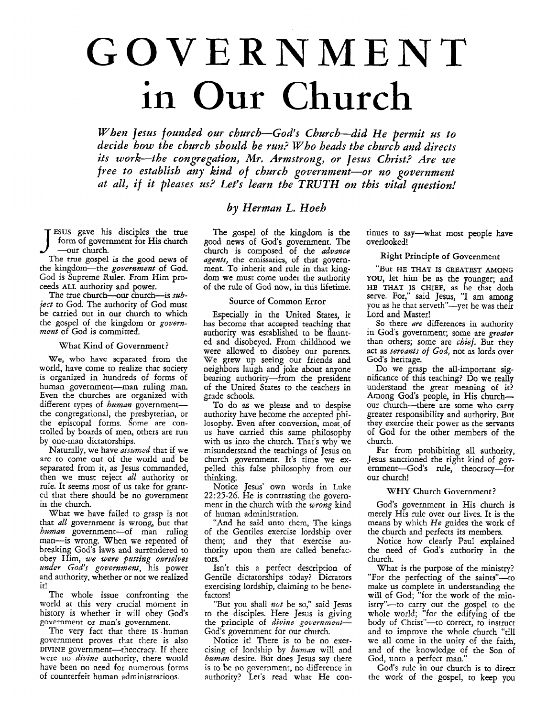# GOVERNMENT in Our Church

*When Jesus founded our church-God's Church-did He permit us to decide how the church should be run? Who beads the church and directs its work-the congregation, Mr. Armstrong, or Jesus Christ? Are we free to establish any kind of church government-or no government*  at all, if it pleases us? Let's learn the TRUTH on this vital question!

## *by Herman L. Hoeh*

**ESUS** gave his disciples the true form of government for His church -our church.

The true gospel is the good news of the kingdom-the *government* of God. God is Supreme Ruler. From Him proceeds **ALL** authority and power.

The true church-our church-is  $\sinh$ *ject* to God. The authority of God must be carried out in our church to which the gospel of the kingdom or *government* of *God* is committed.

#### What Kind **of** Government?

We, who have scparated from the world, have come to realize that society is organized in hundreds of forms of human government-man ruling man. Even the churches are organized with different types of *human* governmentthe congregational, the presbyterian, or the episcopal forms. Some are controlled by boards of men, others are **run**  by one-man dictatorships.

Naturally, we have *assumed* that if we arc to come out of the world and be separated from it, as Jesus commanded, then we must reject *all* authority or rule. It seems most of us take for granted that there should be no government in the church.

What we have failed to grasp is not that *all* government is wrong, but that *human* government-of man ruling man-is wrong. When we repented of breaking God's laws and surrendered to obey Him, *we were putting owselves under God's government,* his power and authority, whether or not we realized it!

The whole issue confronting the world at this very crucial moment in history is whether it will obey God's government or man's government.

The very fact that there **IS** human government proves that there is also DIVINE government-theocracy. If there **weie** no *divine* authority, there would have been no need for numerous forms of counterfeit human administrations.

The gospel of the kingdom is the good news of *God's* government. The church is composed of the *advance agents,* the emissaries, **uf** that government. To inherit and rule in that kingdom we must come under the authority of the rule of God now, in this lifetime.

## Source of Common Error

Especially in the United States, it has become that accepted teaching that authority was established to be flaunted and disobeyed. From childhood we were allowed to disobey our parents. We grew up seeing our friends and neighbors laugh and joke about anyone bearing authority-from the president of the United States to the teachers in grade schools.

To do as we please and to despise authority have become the accepted philosophy. Even after conversion, most of us have carried this same philosophy with us into the church. That's why we misunderstand the teachings of Jesus on church government. It's time we expelled this false philosophy from our thinking.

Notice Jesus' own words in Luke *22~25-26.* He is contrasting the government in the church with the *wrong* kind of human administration.

"And he said unto them, The kings of the Gentiles exercise lordship over them; and they that exercise authority upon them are called benefactors."

Isn't this a perfect description of Gentile dictatorships today? Dictators exercising lordship, claiming to be benefactors!

"But you shall *not* be so," said Jesus to the disciples. Here Jesus **is** giving the principle of *divine* government-God's government for our church.

Notice it! There is to be no exercising of lordship by *human* will and *human* desire. But does Jesus say there **is** to be no government, no difference in authority? Let's read what He continues to say-what most people have overlooked!

## **Right** Principle of Government

"But HE **THAT** IS **GREATEST AMONG YOU,** let him be **as** the younger; and HE **THAT** IS CHIEF, as he that doth serve. For," said Jesus, "I **am** among you as he that serveth"-yet he was their Lord and Master!

So there *are* differences in authority in God's government; some are *greater*  than others; some are *chief.* But they act as *servants of God,* not as lords over God's heritage.

Do we grasp the all-important significance of this teaching? Do we reall understand the great meaning of it? Among God's people, in His churchour church-there are some who carry greater responsibility and authority. But they exercise their power **as** the servants of God for the other members of the church.

Far from prohibiting all authority, Jesus sanctioned the right kind of government-God's rule, theocracy-for our church!

## WHY Church Government?

God's government in His church is merely His rule over our lives. It is the means by which *He* guides the work of the church and perfects its members.

Notice how clearly Paul explained the need of God's authority in the church.

What is the purpose of the ministry? "For the perfecting of the saints"-to make us complete in understanding the will of God; "for the work of the ministry"-to carry out the gospel to the whole world; "for the edifying of the body of Christ"-to correct, to instruct and to improve the whole church "till we all come in the unity of the faith, and of the knowledge of the Son of God, unto a perfect man."

God's rule in our church is to direct the work of the gospel, to keep you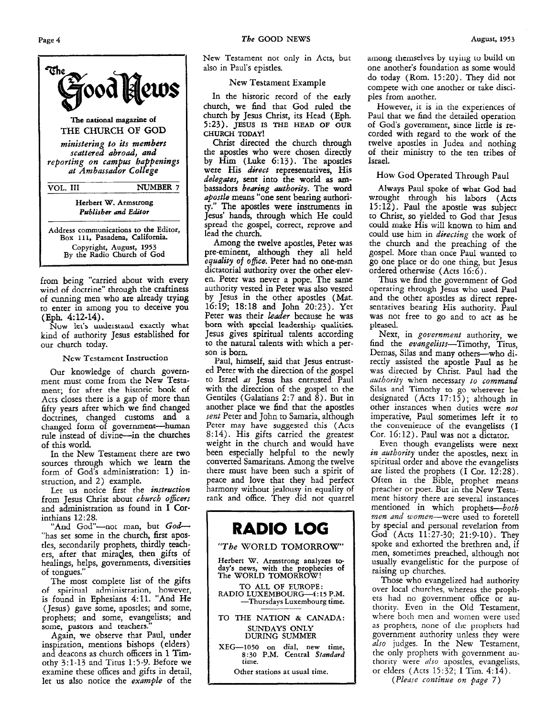

from being "carried about with every wind of doctrine" through the craftiness of cunning men who are already trying to enter in among you to deceive you (Eph. **4: 12-14).** 

**Nuw lei's understand** exactly what kind of authority Jesus established for our church today.

#### **New** Testament Instruction

Our knowledge of church government must come from the New Testament; for after the historic book of Acts closes there is a gap of more than fifty years after which we find changed doctrines, changed customs and a changed form of government-human rule instead of divine-in the churches of this world.

In the New Testament there are two sources through which we learn the form of God's administration: **1)** instruction, and **2)** example.

Let us notice first the *instruction* from Jesus Christ about *church* officers and administration as found in **I** Corinthians **12:28.** 

"And God"-not man, but God-"has set some in the church, first apostles, secondarily prophets, thirdly teachers, after that miracles, then gifts of healings, helps, governments, diversities of tongues."

The most complete list of the gifts of spiritual administration, however, is found in Ephesians **4:ll.** "And He (Jesus) gave some, apostles; and some, prophets; and some, evangelists; and some, pastors and teachers.

Again, we observe that Paul, under inspiration, mentions bishops (elders) and deacons as church officers in **1** Timothy  $3:1-13$  and Titus 1:5-9. Before we examine these offices and gifts in detail, let us also notice the example of the

New **Testament** not only in Acts, but also in Paul's epistles.

## **New** Testament Example

In the historic record of the early church, we find that God ruled the church by Jesus Christ, its Head (Eph. **5:23). JESUS IS THE HEAD OF OUR CHURCH TODAY!** 

Christ directed the church through the apostles who were chosen directly by Him (Luke **6:13).** The apostles were His *direct* representatives. His delegates, **sent** into the world **as am**bassadors bearing authority. The word apostle means "one sent bearing authori**ty."** The apostles were instruments in Jesus' hands, through which He could spread the gospel, correct, reprove and lead the church.

Among the twelve apostles, Peter was pre-eminent, although they **all** held equality of ofice. Peter had no one-man dictatorial authority over the other eleven. Peter was never a pope. The same authority vested in Peter was also vested by Jesus in the other apostles (Mat. **16:19; 18:18** and John **20:23).** Yet Peter was their leader because he was born **with spccial** leadership qualities. Jesus gives spiritual talents according to the natural talents with which a person is born

Paul, himself, said that Jesus entrusted Peter with the direction of the gospel to Israel as Jesus has entrusted Paul with the direction of the gospel to the Gentiles (Galatians 2:7 and  $\hat{8}$ ). But in another place we find that the apostles sent Peter and John to Samaria, although **Peter** may have **suggested** this **(Acts 8: 14).** His gifts carried the greatest weight in the church and would have been especially helpful to the newly converted Samaritans. Among the twelve there must have been such a spirit of peace and love that they had perfect harmony without jealousy in equality of rank and office. They did not quarrel

## **RADIO LOG**  "The **WORLD** TOMORROW' Herbert **W. Armstrong analyzes today's news, with the prophecies of The WORLD TOMORROW!**  TO **ALL OF EUROPE: RADIO LUXEMBOURG--4:15 P.M. -Thursdays Luxembourg time. TO THE NATION** & **CANADA: SUNDAYS ONLY**  DURING **SUMMER XEG-1050** on **dial, new time, 8:30 P.M. Central** *Standard*  **time. Other stations at usual time.**

among themselves by trying to build on one another's foundation as some would do today (Rom. **15:20).** They did not compete with one another or take disciples from another.

However, it is in the experiences of Paul that we find the detailed operation of Gods government, since little **is** recorded with regard to the work of the twelve apostles in Judea and nothing of their ministry to the ten tribes of Israel.

## **How** God Operated Through Paul

Always Paul spoke of what God had wrought through his labors (Acts **15:12).** Paul the apostle was subject to Christ, so yielded to God that Jesus could make His will known to him and could use him in *directing* the work of the church and the preaching of the gospel. More than once Paul wanted to go one place or do one thing, but Jesus ordered otherwise (Acts 16:6).

Thus we find the government of God operating through Jesus who **used** Paul and the other apostles **as** direct representatives bearing His authority. Paul was not free to go and to act **as** he pleased.

Next, in government authority, we find the evangelists-Timothy, Titus, Demas, Silas and many others-who directly assisted the apostle Paul **as** he was directed by Christ. Paul had the authority when necessary to command Silas and Timothy to go wherever **he**  designated (Acts **17:** 15); although in other instances when duties were not imperative, Paul sometimes left it to<br>the convenience of the evangelists (I Cor. 16:12). Paul was not a dictator.

Even though evangelists were next in *authority* under the apostles, next in spiritual order and above the evangelists are listed the prophets (I Cor. **12:28).**  Often in the Bible, prophet means preacher or poet. But in the New Testament history there are several instances mentioned in which prophets-both men and women-were used to foretell by special and persorial revelation from God (Acts **11:27-30; 21:9-10).** They spoke and exhorted the brethren and, if men, sometimes preached, although not usually evangelistic for the purpose of raising up churches.

Those who evangelized had authority over local churches, whereas the prophets had no government office or authority. Even in the Old Testament, where both men and women were used **as** prophets, none of the proplicts had government authority unless they were also judges. In the New Testament, the only prophets with government authority were *dso* apostles, evangelists, or elders **(Acts** 15:32; I Tim. *4:14).* 

(Please continue *on* page 7)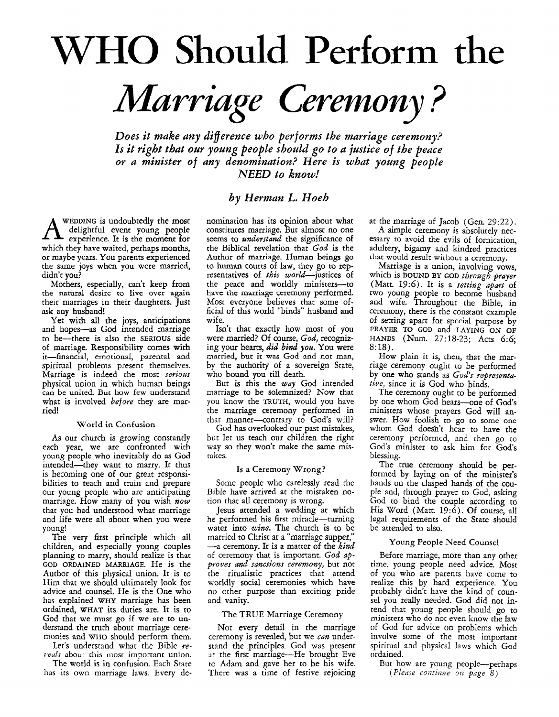# WHO Should **Perform** the *Marriage Ceremony* ?

*Does it make any difference who performs the marriage ceremony? Is it right that our young people should go to a justice of the peace or a minister of any denomination? Here is what young people NEED to know!* 

## *by Herman L. Hoeh*

WEDDING is undoubtedly the most<br>delightful event young people experience. It is the moment for which they have waited, perhaps months, or maybe years. You parents experienced the **same** joys when you were married, didn't you?

Mothers, especially, can't keep from the **natural** dcsirc to Live over again their marriages in their daughters. Just **ask** any husband!

Yet with **all** the joys, anticipations and hopes-as God intended marriage to be-there is also the **SERIOUS** side of marriage. Responsibility comes with it-financial, emotional, parental and spiritual problems present themselves. Marriage is indeed the most *serious*  can be united. But how few understand what is involved *before* they are married!

## World in Confusion

As our church is growing constantly each year, we are confronted with young people who inevitably do **as** God intended-they want to marry. It thus is becoming one of our great responsibilities to teach and train and prepare our young people who are anticipating marriage. How many of you wish now that you had understood what marriage and life were all about when you were young!

The very first principle which all children, and especially young couples planning to marry, should realize is that GOD ORDAINED MARRIAGE. He is the Author of this physical union. It is to Him that we should ultimately look for advice and counsel. He is the One who has explained **WHY** marriage has been ordained, **WHAT its** duties are. It is to God that we must go if we are to understand the truth about marriage ceremonies and WHO should perform them.

Let's understand what the Bible *reveals* about this most important union.

The world **is** in confusion. Each State has its own marriage laws. Every de-

nomination has its opinion about what constitutes marriage. But almost no one seems to *understand* the significance *of*  the Biblical revelation that *God* is the Author of marriage. Human beings go to human courts of law, they go to representatives of *this* world-justices of the peace and worldly ministers-to have **the nxariage** ceremony performed. Most everyone believes that some official of **this** world "binds" husband and wife.

Isn't that exactly how most of you were married? Of course, *God,* recognizing your hearts, did bind you. You were married, but it **was** God and not man, by the authority of **a** sovereign State, who bound you till death.

But is this the *way* God intended marriage to be solemnized? Now that you know the TRUTH, would you have the marriage ceremony performed in that manner-contrary to God's will?

God has overlooked our past mistakes, but let us teach our children the right way so they won't make the same mistakes.

## **Is** a Ceremony Wrong?

Some people who carelessly read the Bible have arrived at the mistaken notion that all ceremony is wrong.

Jesus attended a wedding at which he performed his first miracle-turning water into *wine.* The church is to be married to Christ at a "marriage supper,"<br>—a ceremony. It is a matter of the *kind* of ceremony that **is** imporrant. *God approves and sanctions ceremony,* but not the ritualistic practices that attend worldly social ceremonies which have no other purpose than exciting pride and vanity.

## The TRUE Marriage Ceremony

Not every detail in the marriage ceremony is revealed, but we *can* understand the principles. God was present at the first marriage-He brought Eve to Adam and gave her to be his wife. There was a time of festive rejoicing

at the marriage of Jacob (Gen. 29:22).

**A** simple ceremony is absolutely necessary to avoid the evils of fornication, adultery, bigamy and kindred practices that would result without a ceremony.

Marriage is a union, involving vows, which is BOUND BY GOD *through prayer*  (Matt. *19:6).* It *is* a *setting apart* of two young people to become husband and wife. Throughout the Bible, in ceremony, there is the constant example of setting apart for special purpose by PRAYER TO GOD and LAYING ON OF 8: 18). HANDS (Nm. 27:18-23; Acts 6:6;

How plain it is, then, that the marriage ceremony ought to be performed by one who stands as God's representative, since it is God who binds.

The ceremony ought to be performed by one whom God hears-one of God's ministers whose prayers God will **an**swer. How foolish to go to some one whom God doesn't hear to have the ceremony performed, and then go to God's minister to ask him for God's blessing.

The true ceremony should be performed by laying on of the minister's hands on the clasped hands of the couple and, through prayer to God, asking God to bind the couple according to His Word (Matt. 19:6). Of course, all legal requirements of the State should be attended to also.

## Young People Need Counsel

Before marriage, more than any other time, young people need advice. Most of you who are parents have come to realize this by hard experience. *You*  probably didn't have the kind of counsel you really needed. God did not intend that young people should go to ministers who do not even know the law of God for advice on problems which involve some of the most important spiritual and physical laws which God ordained.

But how are young people---perhaps *(Plectse coi~tiizue OIZ page 8)*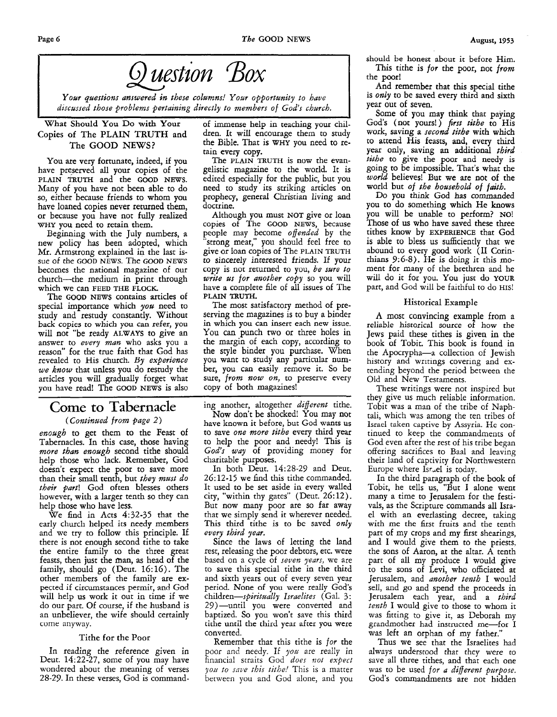



*Your questions answered in these columns! Your opportunity to have*  discussed those problems pertaining directly to members of God's church.

## Copies of The PLAIN TRUTH and **The** GOOD NEWS?

You are very fortunate, indeed, if you have preserved **all** your copies of the **PLAIN TRUTH** and the **GOOD NEWS.**  Many of you have not been able to do so, either because friends to whom you have loaned copies never returned them, or because you have not fully realized **WHY** you need to retain them.

Beginning with the July numbers, a new policy has been adopted, which **Mr.** Armstrong explained in the last issue of the GOOD **NEWS.** The **GOOD NEWS**  becomes the national magazine of our church-the medium in print through which we can **FEED THE FLOCK** 

The **GOOD NEWS** contains articles of special importance which *you* need to study and restudy constantly. Without back copies to which you can refer, you will not "be ready **ALWAYS** to give an answer *to every man* who asks you a reason" for the true faith that God has revealed to **His** church. *By experience we know* that unless you do restudy the artides you will gradually forget what you have read! The **GOOD NEWS** is also

## **Come to Tabernacle**

## *(Continued from #age 2)*

*enough* to get them to the Feast of Tabernacles. In this case, those having *more than enough* second tithe should help those who lack. Kemember, God doesn't expect the poor to save more than their small tenth, but *they must do their part!* God often blesses others however, with a larger tenth so they can help those who have less.

We find in Acts  $4:32-35$  that the early church helped its needy members and we try to follow this principle. If. there is not enough second tithe to take the entire family to the three great feasts, then just the man, as head of the family, should go (Deut. 16:16). The other members of the family are expected if circumstances permit, and God will help **us** work it out in time if we do our part. Of course, if the husband **is**  an unbeliever, the wife should certainly come anyway.

## Tithe for the Poor

In reading the reference given in Deut. 14:22-27, some of you may have wondered about the meaning of verses 28-29. In these verses, God is command-

What Should **You Do with Your** of immense help in teaching your chilthe Bible. That is **WH?!** you need to retain every copy.

The **PLAIN TRUTH is** now the evangelistic magazine to the world. It is edited especially for the public, but you need to study its striking articles on prophecy, general Christian living and doctrine.

Although you must **NOT** give or loan copies of The **GOOD NEWS,** because people may become *offended* by the "strong meat," you should feel free to give or loan copies of The **PLAIN TRUTH**  to sincerely interested friends. If your copy is not returned to you, *be sure to write us for another copy* so you will have a complete file of **all** issues of The **PLAIN** TRUTH.

The most satisfactory method of preserving the magazines is to buy a binder in which you can insert each new issue. **Yau** can punch two or three holes in the margin of each copy, according to the style binder you purchase. When you want to study any particular number, you can easily remove it. So be sure, *from now on,* to preserve every copy of both magazines!

ing another, altogether *different* tithe. Now don't be shocked! You may not have known it before, but God wants **us**  to save *one more tithe* every third year to help the poor and needy! This is *God's way* of providing money for charitable purposes.

In both Deut. 14:28-29 and Deut. 26: 12-15 we find this tithe commanded. It used to be set aside in every walled city, "within thy gates" (Deut. 26:12). But now many poor are so far away that we simply send it wherever needed. This third tithe is to be saved *only every third year.* 

Since the laws of letting the land rest, releasing the poor debtors, etc. were based on a cycle of *seven years,* we are to save this special tithe in the third and sixth years out of every seven year period. None **of** you were really God's children-spiritually Israelites (Gal. 3: 29)-until you were converted and baptized. So you won't save this third tithe until the third **year** after you were converted.

Remember that this tithe is *for* the poor and needy. If you are really in financial straits God *does not expect you to snve this tithe!* This is a matter between you and God alone, and you

should be honest about it before Him. This tithe **is** *for* the poor, not *from*  the poor!

And remember that this special tithe is *only* to be saved every third and sixth year out of seven.

Some of you may think that paying Gods (not yours!) *fist tithe* to His work, saving a *second tithe* with which to attend His feasts, and, every third year only, saving an additional *third tithe* to give the poor and needy is going to be impossible. That's what the *world* believes! But we are not of the world but of *the household of faith.* 

Do you **think** God **has** commanded you to do something which He knows you will be unable to perform? **NO!**  Those of **us** who have saved these three tithes know by **EXPERIENCE** that God is able to bless us sufficiently that we abound to every good work (11 Corinthians 9:6-8). IIe is doing it this moment for many of the brethren and he will do it for you. You just do YOUR part, and God will be faithful to do HIS!

## Historical Example

**A** most convincing example from a reliable historical source of how the Jews paid these tithes is given in the book of Tobit. This book is found in the Apocrypha-a collection of Jewish history and writings covering and extending beyond the period between the Old and New Testaments.

These writings were not inspired but they give us much reliable information. Tobit was a man of the tribe of Naphtali, which was among the ten tribes of Israel taken captive by Assyria. He continued to keep the commandments of God even after the rest of his tribe began offering sacrifices to Baal and leaving their land of captivity for Northwestern Europe where Israel is today.

In the third paragraph of the book of Tobit, he tells us, "But I alone went many a time to Jerusalem for the festivals, as the Scripture commands all Israel with an everlasting decree, taking with me the first fruits and the tenth part of my crops and my first shearings, and I would give them to the priests. the sons of Aaron, at the altar. A tenth part of all my produce **1** would give to the sons of Levi, who officiated at jerusalem, and *another tenth* I would sell, and go and spend the proceeds in Jerusalem each year, and a *third tenth* I would give to those to whom it was fitting to give it, as Deborah my grandmother had instructed me-for I was left an orphan of my father."

Thus we see that the Israelites had always understood that they were to save all three tithes, and that each one was to be used *for a different purpose.*  God's commandments are not hidden

**I**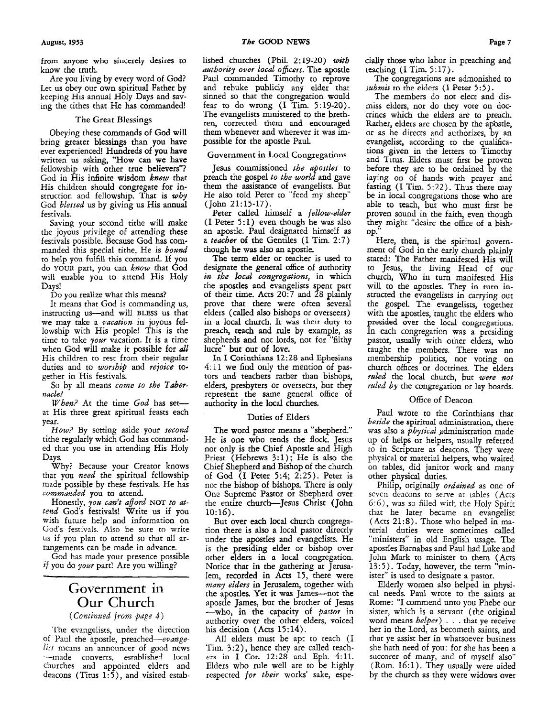from anyone **who** sincerely desires to know the truth.

Are you living by every word of *God?*  Let us obey our own spiritual Father by keeping **His** annual Holy Days and saving the tithes that He has commanded!

## The Great Blessings

Obeying these commands of God will bring greater blessings than you have ever experienced! Hundreds of you have written us asking, "How can we have fellowship with other true believers"? God in His infinite wisdom knew that His children should congregate for instruction and fellowship. That is *why*  God blessed us by giving us His annual festivals.

Saving your second tithe will make the joyous privilege of attending these festivals possible. Because God has commanded this special tithe, He is bound to help you fulfill this command. If you do YOUR part, you can know that God will enable you to attend His Holy Days!

Do you realize what this means?

It means that God is commanding **us,**  instructing us-and will **BLESS us** that we may take a *vacation* in joyous fellowship with His people! This is the time to take your vacation. It is a time when God will make it possible for *all* His children to rest from their regular duties and to worship and *rejoice* together in His festivals.

So by all means come *to* the Tabernacle!

When? At the time God has setat His three great spiritual feasts each year.

*How?* By setting aside your second tithe regularly which God has commanded that you use in attending His Holy Days.

Why? Because your Creator knows that you *need* the spiritual fellowship made possible by these festivals. He has commanded you to attend.

Honestly, you can't afford **NOT** to attend God's festivals! Write us if you wish future help and information on God's festivals. Also be sure to write **US** if you plan to attend so that all arrangements can be made in advance.

God has made your presence possible *if you do your part!* Are you willing?

## Government in Our Church

*(Continued from page 4)* 

'The evangelists, under the direction of Paul the apostle, preached-evange*list* means an announcer of good news -made converts, esrahlished local churches and appointed elders and deacons (Titus 1:5), and visited estabauthority over Local *oficers.* The apostle Paul commanded Timothy to reprove and rebuke publicly any elder that sinned so that the congregation would fear to do wrong (I Tim. **5:19-20).**  'The evangelists ministered to the brethren, corrected them and encouraged them whenever and wherever it was impossible for the apostle Paul.

#### Government **in** Local Congregations

Jesus commissioned the apostles to preach the gospel *to the* world and gave them the assistance of evangelists. But He **also** told Peter to "feed my sheep"  $(John 21:15-17).$ 

Peter called himself a fellow-elder  $(I$  Peter 5:1) even though he was also an apostle. Paul designated himself **as**  a *teacher* of the Gentiles (I Tim. 2:7) though he was also an apostle.

The term elder or teacher is used to designate the general office of authority in *the local* congregations, in which the apostles and evangelists spent part of their time. Acts 20:7 and 28 plainly prove that there were often several elders (called **also** bishops or overseers) in a local church. It was their duty to preach, teach and rule by example, as shepherds and not lords, not for "filthy lucre" but **out** of love.

In **I** Corinthians **12:28** and Ephesians *4:* 11 we find only the mention of pastors and teachers rather than bishops, elders, presbyters or overseers, but they represent the same general office of authoriy **in** the local churches.

#### Duties of Elders

The word pastor means a "shepherd." He is one who tends the flock. Jesus not only is the Chief Apostle and High Priest (Hebrews **3:l);** He **is also** the Chief Shepherd and Bishop of the church of God **(I** Peter **5:4;** 2:25). Peter is not the bishop of bishops. There is only One Supreme Pastor or Shepherd over the entire church-Jesus Christ (John  $10:16$ ).

But over each local church congregation there **is** also a local pastor directly under the apostles and evangelists. He is the presiding elder or bishop over other elders in **a** local congregation. Notice that in the gathering at Jerusalem, recorded in Acts 15, there were many elders in Jerusalem, together with the apostles. Yet it was James-not the apostle James, but the brother of Jesus -who, in the capacity of pastor in authority over the other elders, voiced his decision (Acts 15: *14).* 

**All** elders must be apt to teach (I Tim. **3:2),** hence they are called teach- ers in **I** Cor. 12:28 and Eph. *4:ll.*  Elders who rule well are to be highly respected *for* their works' sake, especially those who labor in preaching and teaching (I Tim. *5* : 17).

The congregations are admonished to submit to the elders (I Peter 5:5).

The members do not elect and dismiss elders, nor do they vote on doctrines which the elders are to preach. Rather, elders are chosen by the apostle, or **as** he directs and authorizes, by an evangelist, according to the qualifications given in the letters to Timothy and Titus. Elders must first be proven before they are to be ordained by the laying on of hands with prayer and fasting (I Tim. *5:22).* Thus there may be in local congregations those who are able to teach, but who must *hst* be proven sound in the faith, even though they might "desire the office of a bishop.

Here, then, is the spiritual government of God in the early **church** plainly stated: The Father manifested His will to Jesus, the living Head of our church, Who in turn manifested His will to the apostles. They in turn instructed the evangelists in carrying out the gospel. The evangelists, together with the apostles, taught the elders who presided over the local congregations. In each congregation was a presiding pastor, usually with other elders, who taught the members. There was no membership politics, nor voting on church offices or doctrines. The elders ruled the local church, but were *not*  ruled *by* the congregation or **lay** boards.

## Office of Deacon

Paul wrote to the Corinthians that *beside* the spiritual administration, there was also a *physical* administration made up of helps or helpers, usually referred to in Scripture **as** deacons. They were physical or material helpers, who waited on tables, did janitor work and many other physical duties.

Philip, originally *ordained* as one of seven deacons to serve at tables (Acts 6: 6), was so filled with the Holy Spirit that he later became an evangelist (Acts 21:8). Those who helped in material duties were sometimes called "ministers" in old English usage. The apostles Barnabas and Paul had Luke and John **Mark** to minister to them (Acts 13:5). Today, however, the term "minister" is used to designate a pastor.

Elderly women also helped in physical needs. Paul wrote to the saints at Rome: "I commend unto you Phebe our sister, which is a servant (the original word means *helper)* . . . that ye receive her in the Lord, as becometh saints, and that ye assist her in whatsoever business she hath need of you: for she has been a succorer of many, **and** of myself also"  $(Rom. 16:1)$ . They usually were aided by the church **as** they were widows over